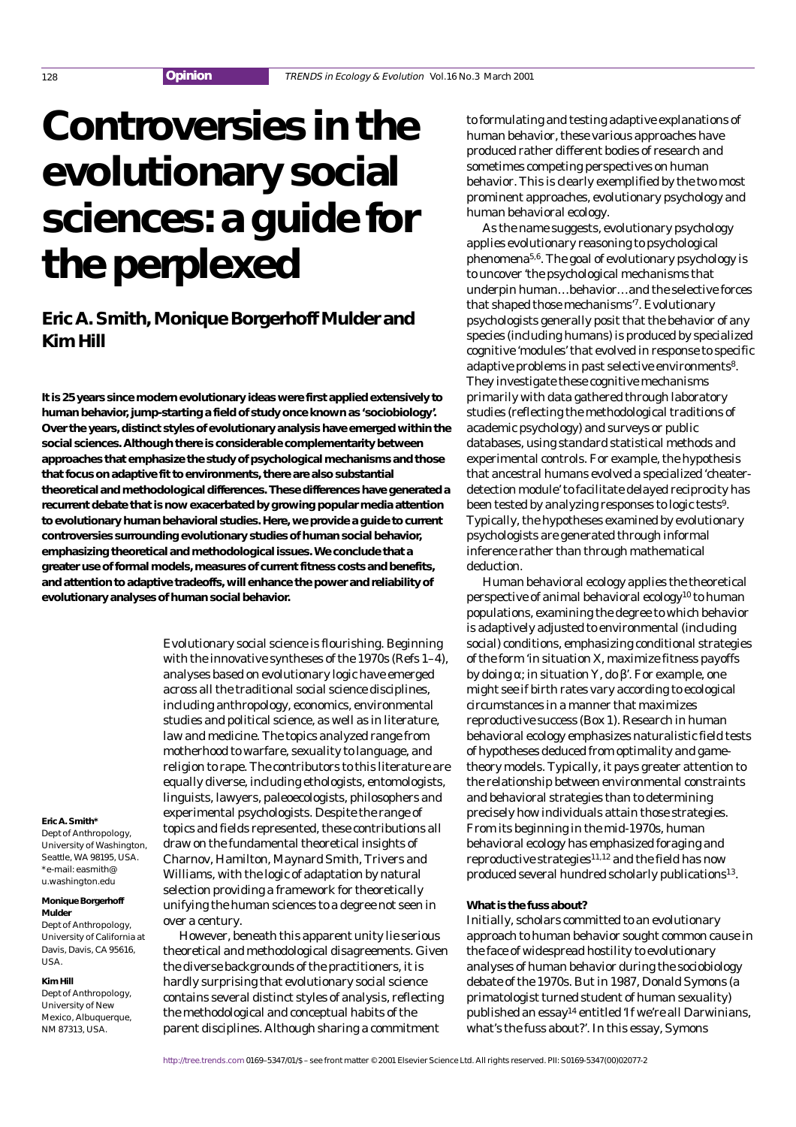# **Controversies in the evolutionary social sciences: a guide for the perplexed**

## **Eric A. Smith, Monique Borgerhoff Mulder and Kim Hill**

**It is 25 years since modern evolutionary ideas were first applied extensively to human behavior, jump-starting a field of study once known as 'sociobiology'. Over the years, distinct styles of evolutionary analysis have emerged within the social sciences. Although there is considerable complementarity between approaches that emphasize the study of psychological mechanisms and those that focus on adaptive fit to environments, there are also substantial theoretical and methodological differences. These differences have generated a recurrent debate that is now exacerbated by growing popular media attention to evolutionary human behavioral studies. Here, we provide a guide to current controversies surrounding evolutionary studies of human social behavior, emphasizing theoretical and methodological issues. We conclude that a greater use of formal models, measures of current fitness costs and benefits, and attention to adaptive tradeoffs, will enhance the power and reliability of evolutionary analyses of human social behavior.**

## **Eric A. Smith\***

Dept of Anthropology, University of Washington, Seattle, WA 98195, USA. \*e-mail: easmith@ u.washington.edu

#### **Monique Borgerhoff Mulder**

Dept of Anthropology, University of California at Davis, Davis, CA 95616, USA.

## **Kim Hill**

Dept of Anthropology, University of New Mexico, Albuquerque, NM 87313, USA.

with the innovative syntheses of the 1970s (Refs 1–4), analyses based on evolutionary logic have emerged across all the traditional social science disciplines, including anthropology, economics, environmental studies and political science, as well as in literature, law and medicine. The topics analyzed range from motherhood to warfare, sexuality to language, and religion to rape. The contributors to this literature are equally diverse, including ethologists, entomologists, linguists, lawyers, paleoecologists, philosophers and experimental psychologists. Despite the range of topics and fields represented, these contributions all draw on the fundamental theoretical insights of Charnov, Hamilton, Maynard Smith, Trivers and Williams, with the logic of adaptation by natural selection providing a framework for theoretically unifying the human sciences to a degree not seen in over a century.

Evolutionary social science is flourishing. Beginning

However, beneath this apparent unity lie serious theoretical and methodological disagreements. Given the diverse backgrounds of the practitioners, it is hardly surprising that evolutionary social science contains several distinct styles of analysis, reflecting the methodological and conceptual habits of the parent disciplines. Although sharing a commitment

to formulating and testing adaptive explanations of human behavior, these various approaches have produced rather different bodies of research and sometimes competing perspectives on human behavior. This is clearly exemplified by the two most prominent approaches, evolutionary psychology and human behavioral ecology.

As the name suggests, evolutionary psychology applies evolutionary reasoning to psychological phenomena5,6. The goal of evolutionary psychology is to uncover 'the psychological mechanisms that underpin human…behavior…and the selective forces that shaped those mechanisms'7. Evolutionary psychologists generally posit that the behavior of any species (including humans) is produced by specialized cognitive 'modules' that evolved in response to specific adaptive problems in past selective environments<sup>8</sup>. They investigate these cognitive mechanisms primarily with data gathered through laboratory studies (reflecting the methodological traditions of academic psychology) and surveys or public databases, using standard statistical methods and experimental controls. For example, the hypothesis that ancestral humans evolved a specialized 'cheaterdetection module' to facilitate delayed reciprocity has been tested by analyzing responses to logic tests<sup>9</sup>. Typically, the hypotheses examined by evolutionary psychologists are generated through informal inference rather than through mathematical deduction.

Human behavioral ecology applies the theoretical perspective of animal behavioral ecology10 to human populations, examining the degree to which behavior is adaptively adjusted to environmental (including social) conditions, emphasizing conditional strategies of the form 'in situation *X*, maximize fitness payoffs by doing α; in situation *Y*, do β'. For example, one might see if birth rates vary according to ecological circumstances in a manner that maximizes reproductive success (Box 1). Research in human behavioral ecology emphasizes naturalistic field tests of hypotheses deduced from optimality and gametheory models. Typically, it pays greater attention to the relationship between environmental constraints and behavioral strategies than to determining precisely how individuals attain those strategies. From its beginning in the mid-1970s, human behavioral ecology has emphasized foraging and reproductive strategies $11,12$  and the field has now produced several hundred scholarly publications<sup>13</sup>.

## **What is the fuss about?**

Initially, scholars committed to an evolutionary approach to human behavior sought common cause in the face of widespread hostility to evolutionary analyses of human behavior during the sociobiology debate of the 1970s. But in 1987, Donald Symons (a primatologist turned student of human sexuality) published an essay14 entitled 'If we're all Darwinians, what's the fuss about?'. In this essay, Symons

http://tree.trends.com 0169–5347/01/\$ – see front matter © 2001 Elsevier Science Ltd. All rights reserved. PII: S0169-5347(00)02077-2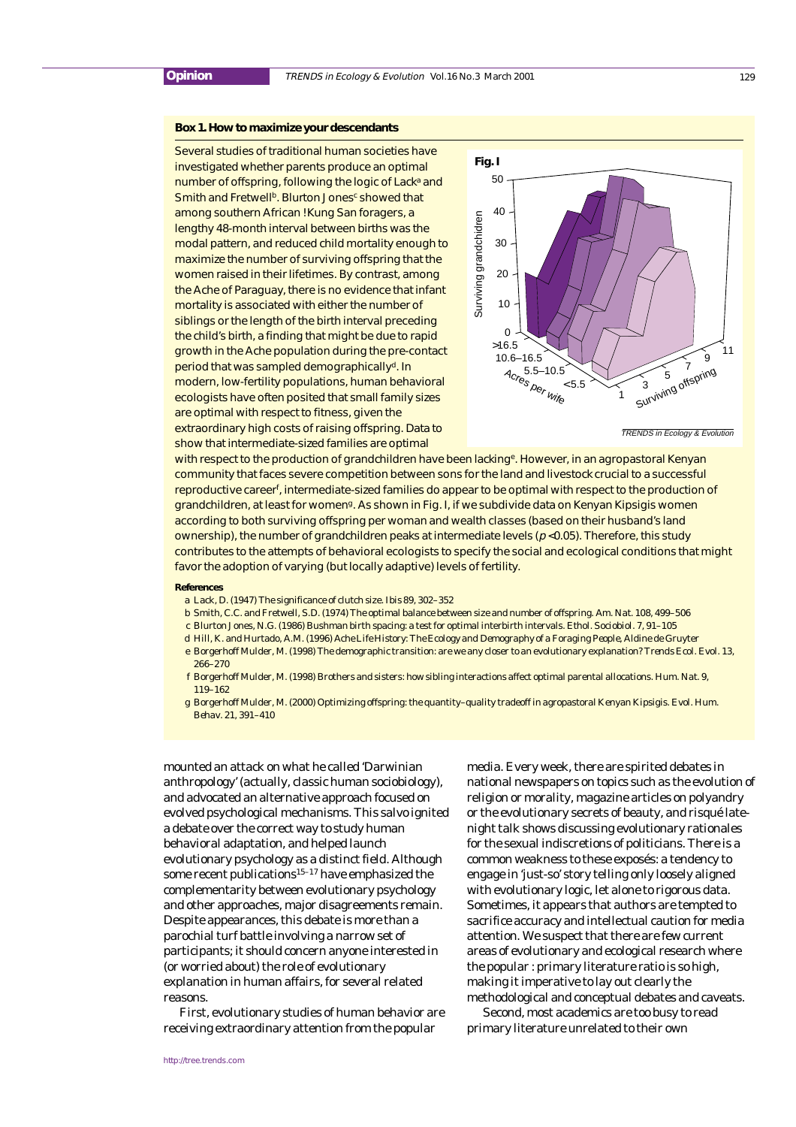## **Box 1. How to maximize your descendants**

Several studies of traditional human societies have investigated whether parents produce an optimal number of offspring, following the logic of Lack<sup>a</sup> and Smith and Fretwell<sup>b</sup>. Blurton Jones<sup>c</sup> showed that among southern African !Kung San foragers, a lengthy 48-month interval between births was the modal pattern, and reduced child mortality enough to maximize the number of surviving offspring that the women raised in their lifetimes. By contrast, among the Ache of Paraguay, there is no evidence that infant mortality is associated with either the number of siblings or the length of the birth interval preceding the child's birth, a finding that might be due to rapid growth in the Ache population during the pre-contact period that was sampled demographically<sup>d</sup>. In modern, low-fertility populations, human behavioral ecologists have often posited that small family sizes are optimal with respect to fitness, given the extraordinary high costs of raising offspring. Data to show that intermediate-sized families are optimal



TRENDS in Ecology & Evolution

with respect to the production of grandchildren have been lacking<sup>e</sup>. However, in an agropastoral Kenyan community that faces severe competition between sons for the land and livestock crucial to a successful reproductive career<sup>f</sup>, intermediate-sized families do appear to be optimal with respect to the production of grandchildren, at least for women<sup>g</sup>. As shown in Fig. I, if we subdivide data on Kenyan Kipsigis women according to both surviving offspring per woman and wealth classes (based on their husband's land ownership), the number of grandchildren peaks at intermediate levels ( $p$  < 0.05). Therefore, this study contributes to the attempts of behavioral ecologists to specify the social and ecological conditions that might favor the adoption of varying (but locally adaptive) levels of fertility.

#### **References**

- a Lack, D. (1947) The significance of clutch size. *Ibis* 89, 302–352
- b Smith, C.C. and Fretwell, S.D. (1974) The optimal balance between size and number of offspring. *Am. Nat.* 108, 499–506
- c Blurton Jones, N.G. (1986) Bushman birth spacing: a test for optimal interbirth intervals. *Ethol. Sociobiol.* 7, 91–105
- d Hill, K. and Hurtado, A.M. (1996) *Ache Life History: The Ecology and Demography of a Foraging People*, Aldine de Gruyter
- e Borgerhoff Mulder, M. (1998) The demographic transition: are we any closer to an evolutionary explanation? *Trends Ecol. Evol.* 13, 266–270
- f Borgerhoff Mulder, M. (1998) Brothers and sisters: how sibling interactions affect optimal parental allocations. *Hum. Nat.* 9, 119–162
- g Borgerhoff Mulder, M. (2000) Optimizing offspring: the quantity–quality tradeoff in agropastoral Kenyan Kipsigis. *Evol. Hum. Behav.* 21, 391–410

mounted an attack on what he called 'Darwinian anthropology' (actually, classic human sociobiology), and advocated an alternative approach focused on evolved psychological mechanisms. This salvo ignited a debate over the correct way to study human behavioral adaptation, and helped launch evolutionary psychology as a distinct field. Although some recent publications<sup>15-17</sup> have emphasized the complementarity between evolutionary psychology and other approaches, major disagreements remain. Despite appearances, this debate is more than a parochial turf battle involving a narrow set of participants; it should concern anyone interested in (or worried about) the role of evolutionary explanation in human affairs, for several related reasons.

First, evolutionary studies of human behavior are receiving extraordinary attention from the popular

media. Every week, there are spirited debates in national newspapers on topics such as the evolution of religion or morality, magazine articles on polyandry or the evolutionary secrets of beauty, and risqué latenight talk shows discussing evolutionary rationales for the sexual indiscretions of politicians. There is a common weakness to these exposés: a tendency to engage in 'just-so' story telling only loosely aligned with evolutionary logic, let alone to rigorous data. Sometimes, it appears that authors are tempted to sacrifice accuracy and intellectual caution for media attention. We suspect that there are few current areas of evolutionary and ecological research where the popular : primary literature ratio is so high, making it imperative to lay out clearly the methodological and conceptual debates and caveats.

Second, most academics are too busy to read primary literature unrelated to their own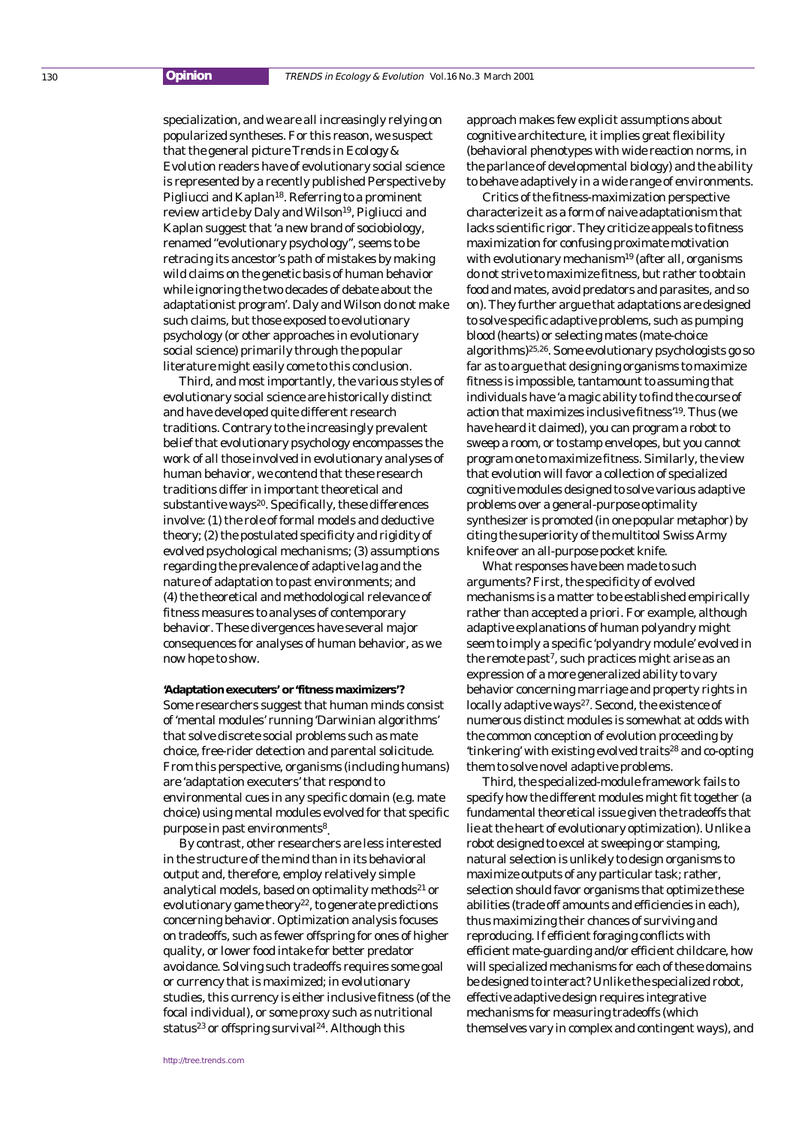specialization, and we are all increasingly relying on popularized syntheses. For this reason, we suspect that the general picture *Trends in Ecology & Evolution* readers have of evolutionary social science is represented by a recently published Perspective by Pigliucci and Kaplan<sup>18</sup>. Referring to a prominent review article by Daly and Wilson<sup>19</sup>, Pigliucci and Kaplan suggest that 'a new brand of sociobiology, renamed ''evolutionary psychology'', seems to be retracing its ancestor's path of mistakes by making wild claims on the genetic basis of human behavior while ignoring the two decades of debate about the adaptationist program'. Daly and Wilson do not make such claims, but those exposed to evolutionary psychology (or other approaches in evolutionary social science) primarily through the popular literature might easily come to this conclusion.

Third, and most importantly, the various styles of evolutionary social science are historically distinct and have developed quite different research traditions. Contrary to the increasingly prevalent belief that evolutionary psychology encompasses the work of all those involved in evolutionary analyses of human behavior, we contend that these research traditions differ in important theoretical and substantive ways<sup>20</sup>. Specifically, these differences involve: (1) the role of formal models and deductive theory; (2) the postulated specificity and rigidity of evolved psychological mechanisms; (3) assumptions regarding the prevalence of adaptive lag and the nature of adaptation to past environments; and (4) the theoretical and methodological relevance of fitness measures to analyses of contemporary behavior. These divergences have several major consequences for analyses of human behavior, as we now hope to show.

**'Adaptation executers' or 'fitness maximizers'?** Some researchers suggest that human minds consist of 'mental modules' running 'Darwinian algorithms' that solve discrete social problems such as mate choice, free-rider detection and parental solicitude. From this perspective, organisms (including humans) are 'adaptation executers' that respond to environmental cues in any specific domain (e.g. mate choice) using mental modules evolved for that specific purpose in past environments8 .

By contrast, other researchers are less interested in the structure of the mind than in its behavioral output and, therefore, employ relatively simple analytical models, based on optimality methods<sup>21</sup> or evolutionary game theory<sup>22</sup>, to generate predictions concerning behavior. Optimization analysis focuses on tradeoffs, such as fewer offspring for ones of higher quality, or lower food intake for better predator avoidance. Solving such tradeoffs requires some goal or currency that is maximized; in evolutionary studies, this currency is either inclusive fitness (of the focal individual), or some proxy such as nutritional status<sup>23</sup> or offspring survival<sup>24</sup>. Although this

http://tree.trends.com

approach makes few explicit assumptions about cognitive architecture, it implies great flexibility (behavioral phenotypes with wide reaction norms, in the parlance of developmental biology) and the ability to behave adaptively in a wide range of environments.

Critics of the fitness-maximization perspective characterize it as a form of naive adaptationism that lacks scientific rigor. They criticize appeals to fitness maximization for confusing proximate motivation with evolutionary mechanism<sup>19</sup> (after all, organisms do not strive to maximize fitness, but rather to obtain food and mates, avoid predators and parasites, and so on). They further argue that adaptations are designed to solve specific adaptive problems, such as pumping blood (hearts) or selecting mates (mate-choice algorithms)25,26. Some evolutionary psychologists go so far as to argue that designing organisms to maximize fitness is impossible, tantamount to assuming that individuals have 'a magic ability to find the course of action that maximizes inclusive fitness'19. Thus (we have heard it claimed), you can program a robot to sweep a room, or to stamp envelopes, but you cannot program one to maximize fitness. Similarly, the view that evolution will favor a collection of specialized cognitive modules designed to solve various adaptive problems over a general-purpose optimality synthesizer is promoted (in one popular metaphor) by citing the superiority of the multitool Swiss Army knife over an all-purpose pocket knife.

What responses have been made to such arguments? First, the specificity of evolved mechanisms is a matter to be established empirically rather than accepted *a priori*. For example, although adaptive explanations of human polyandry might seem to imply a specific 'polyandry module' evolved in the remote past<sup>7</sup>, such practices might arise as an expression of a more generalized ability to vary behavior concerning marriage and property rights in locally adaptive ways<sup>27</sup>. Second, the existence of numerous distinct modules is somewhat at odds with the common conception of evolution proceeding by 'tinkering' with existing evolved traits<sup>28</sup> and co-opting them to solve novel adaptive problems.

Third, the specialized-module framework fails to specify how the different modules might fit together (a fundamental theoretical issue given the tradeoffs that lie at the heart of evolutionary optimization). Unlike a robot designed to excel at sweeping or stamping, natural selection is unlikely to design organisms to maximize outputs of any particular task; rather, selection should favor organisms that optimize these abilities (trade off amounts and efficiencies in each), thus maximizing their chances of surviving and reproducing. If efficient foraging conflicts with efficient mate-guarding and/or efficient childcare, how will specialized mechanisms for each of these domains be designed to interact? Unlike the specialized robot, effective adaptive design requires integrative mechanisms for measuring tradeoffs (which themselves vary in complex and contingent ways), and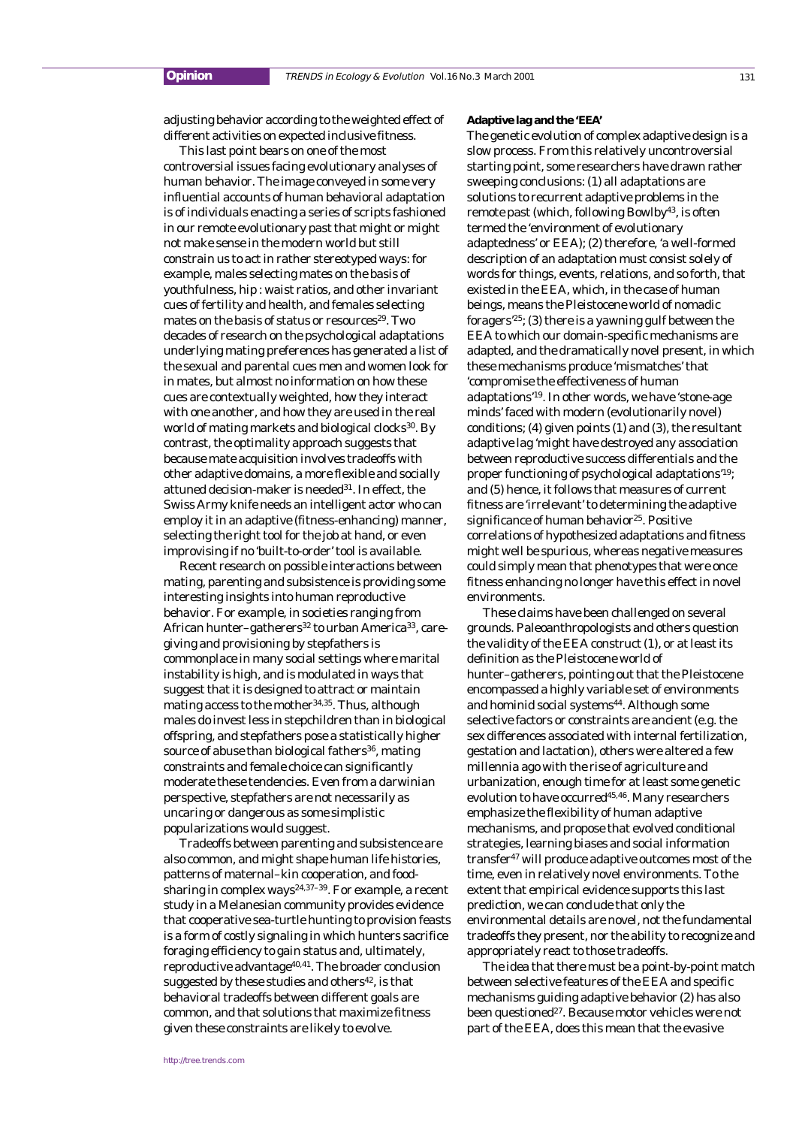adjusting behavior according to the weighted effect of different activities on expected inclusive fitness.

This last point bears on one of the most controversial issues facing evolutionary analyses of human behavior. The image conveyed in some very influential accounts of human behavioral adaptation is of individuals enacting a series of scripts fashioned in our remote evolutionary past that might or might not make sense in the modern world but still constrain us to act in rather stereotyped ways: for example, males selecting mates on the basis of youthfulness, hip : waist ratios, and other invariant cues of fertility and health, and females selecting mates on the basis of status or resources<sup>29</sup>. Two decades of research on the psychological adaptations underlying mating preferences has generated a list of the sexual and parental cues men and women look for in mates, but almost no information on how these cues are contextually weighted, how they interact with one another, and how they are used in the real world of mating markets and biological clocks<sup>30</sup>. By contrast, the optimality approach suggests that because mate acquisition involves tradeoffs with other adaptive domains, a more flexible and socially attuned decision-maker is needed<sup>31</sup>. In effect, the Swiss Army knife needs an intelligent actor who can employ it in an adaptive (fitness-enhancing) manner, selecting the right tool for the job at hand, or even improvising if no 'built-to-order' tool is available.

Recent research on possible interactions between mating, parenting and subsistence is providing some interesting insights into human reproductive behavior. For example, in societies ranging from African hunter-gatherers<sup>32</sup> to urban America<sup>33</sup>, caregiving and provisioning by stepfathers is commonplace in many social settings where marital instability is high, and is modulated in ways that suggest that it is designed to attract or maintain mating access to the mother<sup>34,35</sup>. Thus, although males do invest less in stepchildren than in biological offspring, and stepfathers pose a statistically higher source of abuse than biological fathers<sup>36</sup>, mating constraints and female choice can significantly moderate these tendencies. Even from a darwinian perspective, stepfathers are not necessarily as uncaring or dangerous as some simplistic popularizations would suggest.

Tradeoffs between parenting and subsistence are also common, and might shape human life histories, patterns of maternal–kin cooperation, and foodsharing in complex ways $24,37-39$ . For example, a recent study in a Melanesian community provides evidence that cooperative sea-turtle hunting to provision feasts is a form of costly signaling in which hunters sacrifice foraging efficiency to gain status and, ultimately, reproductive advantage40,41. The broader conclusion suggested by these studies and others $42$ , is that behavioral tradeoffs between different goals are common, and that solutions that maximize fitness given these constraints are likely to evolve.

#### **Adaptive lag and the 'EEA'**

The genetic evolution of complex adaptive design is a slow process. From this relatively uncontroversial starting point, some researchers have drawn rather sweeping conclusions: (1) all adaptations are solutions to recurrent adaptive problems in the remote past (which, following Bowlby<sup>43</sup>, is often termed the 'environment of evolutionary adaptedness' or EEA); (2) therefore, 'a well-formed description of an adaptation must consist solely of words for things, events, relations, and so forth, that existed in the EEA, which, in the case of human beings, means the Pleistocene world of nomadic foragers'25; (3) there is a yawning gulf between the EEA to which our domain-specific mechanisms are adapted, and the dramatically novel present, in which these mechanisms produce 'mismatches' that 'compromise the effectiveness of human adaptations'19. In other words, we have 'stone-age minds' faced with modern (evolutionarily novel) conditions; (4) given points (1) and (3), the resultant adaptive lag 'might have destroyed any association between reproductive success differentials and the proper functioning of psychological adaptations'19; and (5) hence, it follows that measures of current fitness are 'irrelevant' to determining the adaptive significance of human behavior<sup>25</sup>. Positive correlations of hypothesized adaptations and fitness might well be spurious, whereas negative measures could simply mean that phenotypes that were once fitness enhancing no longer have this effect in novel environments.

These claims have been challenged on several grounds. Paleoanthropologists and others question the validity of the EEA construct (1), or at least its definition as the Pleistocene world of hunter–gatherers, pointing out that the Pleistocene encompassed a highly variable set of environments and hominid social systems<sup>44</sup>. Although some selective factors or constraints are ancient (e.g. the sex differences associated with internal fertilization, gestation and lactation), others were altered a few millennia ago with the rise of agriculture and urbanization, enough time for at least some genetic evolution to have occurred<sup>45,46</sup>. Many researchers emphasize the flexibility of human adaptive mechanisms, and propose that evolved conditional strategies, learning biases and social information transfer47 will produce adaptive outcomes most of the time, even in relatively novel environments. To the extent that empirical evidence supports this last prediction, we can conclude that only the environmental details are novel, not the fundamental tradeoffs they present, nor the ability to recognize and appropriately react to those tradeoffs.

The idea that there must be a point-by-point match between selective features of the EEA and specific mechanisms guiding adaptive behavior (2) has also been questioned<sup>27</sup>. Because motor vehicles were not part of the EEA, does this mean that the evasive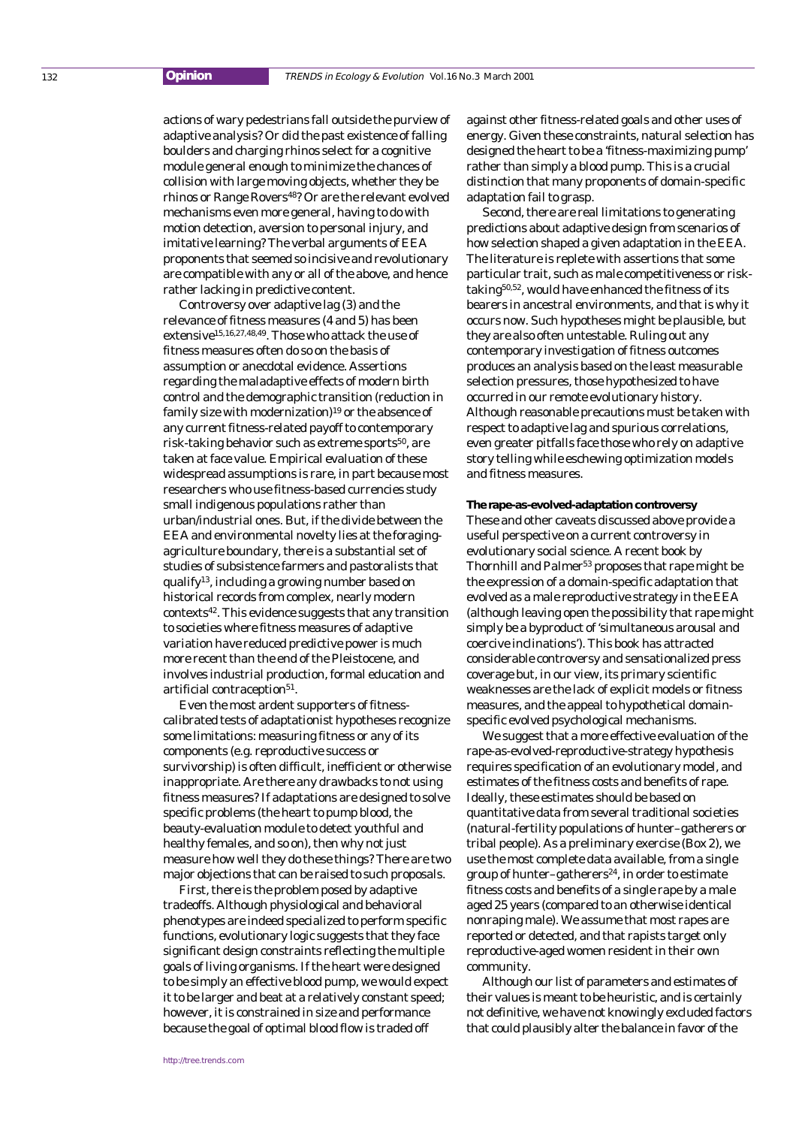actions of wary pedestrians fall outside the purview of adaptive analysis? Or did the past existence of falling boulders and charging rhinos select for a cognitive module general enough to minimize the chances of collision with large moving objects, whether they be rhinos or Range Rovers<sup>48</sup>? Or are the relevant evolved mechanisms even more general, having to do with motion detection, aversion to personal injury, and imitative learning? The verbal arguments of EEA proponents that seemed so incisive and revolutionary are compatible with any or all of the above, and hence rather lacking in predictive content.

Controversy over adaptive lag (3) and the relevance of fitness measures (4 and 5) has been extensive<sup>15,16,27,48,49</sup>. Those who attack the use of fitness measures often do so on the basis of assumption or anecdotal evidence. Assertions regarding the maladaptive effects of modern birth control and the demographic transition (reduction in family size with modernization)19 or the absence of any current fitness-related payoff to contemporary risk-taking behavior such as extreme sports<sup>50</sup>, are taken at face value. Empirical evaluation of these widespread assumptions is rare, in part because most researchers who use fitness-based currencies study small indigenous populations rather than urban/industrial ones. But, if the divide between the EEA and environmental novelty lies at the foragingagriculture boundary, there is a substantial set of studies of subsistence farmers and pastoralists that qualify13, including a growing number based on historical records from complex, nearly modern contexts<sup>42</sup>. This evidence suggests that any transition to societies where fitness measures of adaptive variation have reduced predictive power is much more recent than the end of the Pleistocene, and involves industrial production, formal education and artificial contraception<sup>51</sup>.

Even the most ardent supporters of fitnesscalibrated tests of adaptationist hypotheses recognize some limitations: measuring fitness or any of its components (e.g. reproductive success or survivorship) is often difficult, inefficient or otherwise inappropriate. Are there any drawbacks to not using fitness measures? If adaptations are designed to solve specific problems (the heart to pump blood, the beauty-evaluation module to detect youthful and healthy females, and so on), then why not just measure how well they do these things? There are two major objections that can be raised to such proposals.

First, there is the problem posed by adaptive tradeoffs. Although physiological and behavioral phenotypes are indeed specialized to perform specific functions, evolutionary logic suggests that they face significant design constraints reflecting the multiple goals of living organisms. If the heart were designed to be simply an effective blood pump, we would expect it to be larger and beat at a relatively constant speed; however, it is constrained in size and performance because the goal of optimal blood flow is traded off

against other fitness-related goals and other uses of energy. Given these constraints, natural selection has designed the heart to be a 'fitness-maximizing pump' rather than simply a blood pump. This is a crucial distinction that many proponents of domain-specific adaptation fail to grasp.

Second, there are real limitations to generating predictions about adaptive design from scenarios of how selection shaped a given adaptation in the EEA. The literature is replete with assertions that some particular trait, such as male competitiveness or risktaking50,52, would have enhanced the fitness of its bearers in ancestral environments, and that is why it occurs now. Such hypotheses might be plausible, but they are also often untestable. Ruling out any contemporary investigation of fitness outcomes produces an analysis based on the least measurable selection pressures, those hypothesized to have occurred in our remote evolutionary history. Although reasonable precautions must be taken with respect to adaptive lag and spurious correlations, even greater pitfalls face those who rely on adaptive story telling while eschewing optimization models and fitness measures.

**The rape-as-evolved-adaptation controversy** These and other caveats discussed above provide a useful perspective on a current controversy in evolutionary social science. A recent book by Thornhill and Palmer<sup>53</sup> proposes that rape might be the expression of a domain-specific adaptation that evolved as a male reproductive strategy in the EEA (although leaving open the possibility that rape might simply be a byproduct of 'simultaneous arousal and coercive inclinations'). This book has attracted considerable controversy and sensationalized press coverage but, in our view, its primary scientific weaknesses are the lack of explicit models or fitness measures, and the appeal to hypothetical domainspecific evolved psychological mechanisms.

We suggest that a more effective evaluation of the rape-as-evolved-reproductive-strategy hypothesis requires specification of an evolutionary model, and estimates of the fitness costs and benefits of rape. Ideally, these estimates should be based on quantitative data from several traditional societies (natural-fertility populations of hunter–gatherers or tribal people). As a preliminary exercise (Box 2), we use the most complete data available, from a single group of hunter–gatherers<sup>24</sup>, in order to estimate fitness costs and benefits of a single rape by a male aged 25 years (compared to an otherwise identical nonraping male). We assume that most rapes are reported or detected, and that rapists target only reproductive-aged women resident in their own community.

Although our list of parameters and estimates of their values is meant to be heuristic, and is certainly not definitive, we have not knowingly excluded factors that could plausibly alter the balance in favor of the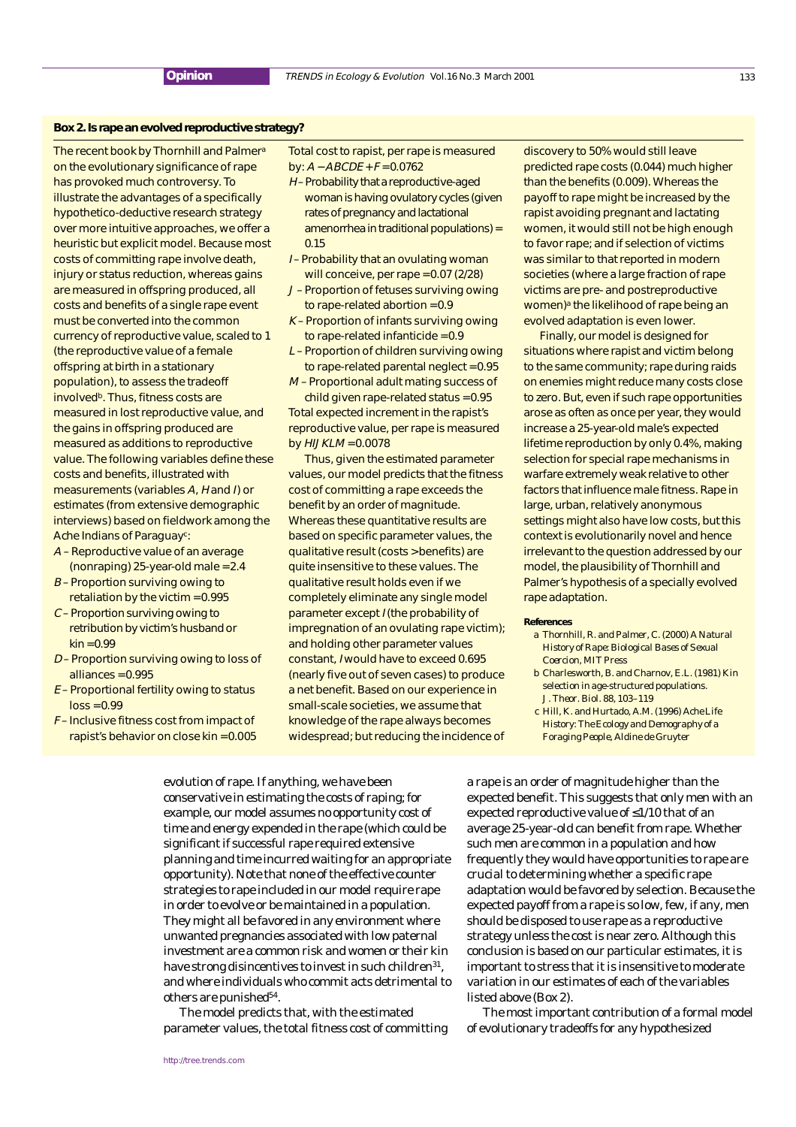## **Box 2. Is rape an evolved reproductive strategy?**

The recent book by Thornhill and Palmera on the evolutionary significance of rape has provoked much controversy. To illustrate the advantages of a specifically hypothetico-deductive research strategy over more intuitive approaches, we offer a heuristic but explicit model. Because most costs of committing rape involve death, injury or status reduction, whereas gains are measured in offspring produced, all costs and benefits of a single rape event must be converted into the common currency of reproductive value, scaled to 1 (the reproductive value of a female offspring at birth in a stationary population), to assess the tradeoff involved<sup>b</sup>. Thus, fitness costs are measured in lost reproductive value, and the gains in offspring produced are measured as additions to reproductive value. The following variables define these costs and benefits, illustrated with measurements (variables A, H and I) or estimates (from extensive demographic interviews) based on fieldwork among the Ache Indians of Paraguay<sup>c</sup>:

- A Reproductive value of an average (nonraping)  $25$ -year-old male =  $2.4$
- B Proportion surviving owing to retaliation by the victim  $= 0.995$
- C Proportion surviving owing to retribution by victim's husband or  $kin = 0.99$
- D Proportion surviving owing to loss of alliances = 0.995
- E Proportional fertility owing to status  $loss = 0.99$
- F Inclusive fitness cost from impact of rapist's behavior on close  $kin = 0.005$

Total cost to rapist, per rape is measured by:  $A - ABCDE + F = 0.0762$ 

- H– Probability that a reproductive-aged woman is having ovulatory cycles (given rates of pregnancy and lactational amenorrhea in traditional populations) = 0.15
- I-Probability that an ovulating woman will conceive, per rape  $= 0.07$  (2/28)
- J Proportion of fetuses surviving owing to rape-related abortion =  $0.9$
- K Proportion of infants surviving owing to rape-related infanticide =  $0.9$
- L Proportion of children surviving owing to rape-related parental neglect =  $0.95$
- M Proportional adult mating success of

child given rape-related status =  $0.95$ Total expected increment in the rapist's reproductive value, per rape is measured by  $HJKLM = 0.0078$ 

Thus, given the estimated parameter values, our model predicts that the fitness cost of committing a rape exceeds the benefit by an order of magnitude. Whereas these quantitative results are based on specific parameter values, the qualitative result (costs > benefits) are quite insensitive to these values. The qualitative result holds even if we completely eliminate any single model parameter except I (the probability of impregnation of an ovulating rape victim); and holding other parameter values constant, I would have to exceed 0.695 (nearly five out of seven cases) to produce a net benefit. Based on our experience in small-scale societies, we assume that knowledge of the rape always becomes widespread; but reducing the incidence of discovery to 50% would still leave predicted rape costs (0.044) much higher than the benefits (0.009). Whereas the payoff to rape might be increased by the rapist avoiding pregnant and lactating women, it would still not be high enough to favor rape; and if selection of victims was similar to that reported in modern societies (where a large fraction of rape victims are pre- and postreproductive women)a the likelihood of rape being an evolved adaptation is even lower.

Finally, our model is designed for situations where rapist and victim belong to the same community; rape during raids on enemies might reduce many costs close to zero. But, even if such rape opportunities arose as often as once per year, they would increase a 25-year-old male's expected lifetime reproduction by only 0.4%, making selection for special rape mechanisms in warfare extremely weak relative to other factors that influence male fitness. Rape in large, urban, relatively anonymous settings might also have low costs, but this context is evolutionarily novel and hence irrelevant to the question addressed by our model, the plausibility of Thornhill and Palmer's hypothesis of a specially evolved rape adaptation.

### **References**

- a Thornhill, R. and Palmer, C. (2000) *A Natural History of Rape: Biological Bases of Sexual Coercion*, MIT Press
- b Charlesworth, B. and Charnov, E.L. (1981) Kin selection in age-structured populations. *J. Theor. Biol.* 88, 103–119
- c Hill, K. and Hurtado, A.M. (1996) *Ache Life History: The Ecology and Demography of a Foraging People*, Aldine de Gruyter

evolution of rape. If anything, we have been conservative in estimating the costs of raping; for example, our model assumes no opportunity cost of time and energy expended in the rape (which could be significant if successful rape required extensive planning and time incurred waiting for an appropriate opportunity). Note that none of the effective counter strategies to rape included in our model require rape in order to evolve or be maintained in a population. They might all be favored in any environment where unwanted pregnancies associated with low paternal investment are a common risk and women or their kin have strong disincentives to invest in such children<sup>31</sup>, and where individuals who commit acts detrimental to others are punished $54$ .

The model predicts that, with the estimated parameter values, the total fitness cost of committing

expected benefit. This suggests that only men with an expected reproductive value of ≤1/10 that of an average 25-year-old can benefit from rape. Whether such men are common in a population and how frequently they would have opportunities to rape are crucial to determining whether a specific rape adaptation would be favored by selection. Because the expected payoff from a rape is so low, few, if any, men should be disposed to use rape as a reproductive strategy unless the cost is near zero. Although this conclusion is based on our particular estimates, it is important to stress that it is insensitive to moderate variation in our estimates of each of the variables listed above (Box 2).

a rape is an order of magnitude higher than the

The most important contribution of a formal model of evolutionary tradeoffs for any hypothesized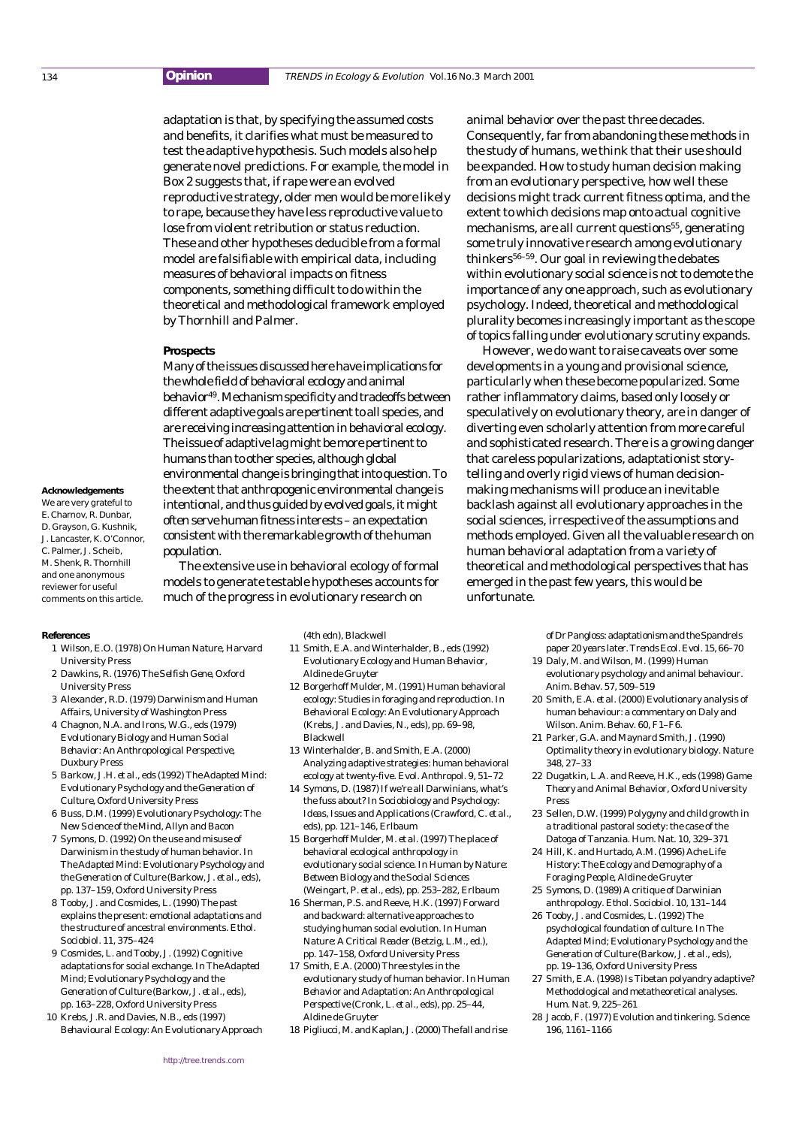adaptation is that, by specifying the assumed costs and benefits, it clarifies what must be measured to test the adaptive hypothesis. Such models also help generate novel predictions. For example, the model in Box 2 suggests that, if rape were an evolved reproductive strategy, older men would be more likely to rape, because they have less reproductive value to lose from violent retribution or status reduction. These and other hypotheses deducible from a formal model are falsifiable with empirical data, including measures of behavioral impacts on fitness components, something difficult to do within the theoretical and methodological framework employed by Thornhill and Palmer.

#### **Prospects**

Many of the issues discussed here have implications for the whole field of behavioral ecology and animal behavior49. Mechanism specificity and tradeoffs between different adaptive goals are pertinent to all species, and are receiving increasing attention in behavioral ecology. The issue of adaptive lag might be more pertinent to humans than to other species, although global environmental change is bringing that into question. To the extent that anthropogenic environmental change is intentional, and thus guided by evolved goals, it might often serve human fitness interests – an expectation consistent with the remarkable growth of the human population.

The extensive use in behavioral ecology of formal models to generate testable hypotheses accounts for much of the progress in evolutionary research on

### **Acknowledgements**

We are very grateful to E. Charnov, R. Dunbar, D. Grayson, G. Kushnik, J. Lancaster, K. O'Connor, C. Palmer, J. Scheib, M. Shenk, R. Thornhill and one anonymous reviewer for useful comments on this article.

**References**

(4th edn), Blackwell

- 1 Wilson, E.O. (1978) *On Human Nature,* Harvard University Press
- 2 Dawkins, R. (1976) *The Selfish Gene,* Oxford University Press
- 3 Alexander, R.D. (1979) *Darwinism and Human Affairs,* University of Washington Press
- 4 Chagnon, N.A. and Irons, W.G., eds (1979) *Evolutionary Biology and Human Social Behavior: An Anthropological Perspective,* Duxbury Press
- 5 Barkow, J.H. *et al*., eds (1992) *The Adapted Mind: Evolutionary Psychology and the Generation of Culture,* Oxford University Press
- 6 Buss, D.M. (1999) *Evolutionary Psychology: The New Science of the Mind,* Allyn and Bacon
- 7 Symons, D. (1992) On the use and misuse of Darwinism in the study of human behavior. In *The Adapted Mind: Evolutionary Psychology and the Generation of Culture* (Barkow, J. *et al*., eds), pp. 137–159, Oxford University Press
- 8 Tooby, J. and Cosmides, L. (1990) The past explains the present: emotional adaptations and the structure of ancestral environments. *Ethol. Sociobiol.* 11, 375–424
- 9 Cosmides, L. and Tooby, J. (1992) Cognitive adaptations for social exchange. In *The Adapted Mind; Evolutionary Psychology and the Generation of Culture* (Barkow, J. *et al*., eds), pp. 163–228, Oxford University Press
- 10 Krebs, J.R. and Davies, N.B., eds (1997) *Behavioural Ecology: An Evolutionary Approach*
- 
- 11 Smith, E.A. and Winterhalder, B., eds (1992) *Evolutionary Ecology and Human Behavior*, Aldine de Gruyter
- 12 Borgerhoff Mulder, M. (1991) Human behavioral ecology: Studies in foraging and reproduction. In *Behavioral Ecology: An Evolutionary Approach* (Krebs, J. and Davies, N., eds), pp. 69–98, Blackwell
- 13 Winterhalder, B. and Smith, E.A. (2000) Analyzing adaptive strategies: human behavioral ecology at twenty-five. *Evol. Anthropol.* 9, 51–72
- 14 Symons, D. (1987) If we're all Darwinians, what's the fuss about? In *Sociobiology and Psychology: Ideas, Issues and Applications* (Crawford, C. *et al.*, eds), pp. 121–146, Erlbaum
- 15 Borgerhoff Mulder, M. *et al*. (1997) The place of behavioral ecological anthropology in evolutionary social science. In *Human by Nature: Between Biology and the Social Sciences* (Weingart, P. *et al*., eds), pp. 253–282, Erlbaum
- 16 Sherman, P.S. and Reeve, H.K. (1997) Forward and backward: alternative approaches to studying human social evolution. In *Human Nature: A Critical Reader* (Betzig, L.M., ed.), pp. 147–158, Oxford University Press
- 17 Smith, E.A. (2000) Three styles in the evolutionary study of human behavior. In *Human Behavior and Adaptation: An Anthropological Perspective* (Cronk, L. *et al.*, eds), pp. 25–44, Aldine de Gruyter
- 18 Pigliucci, M. and Kaplan, J. (2000) The fall and rise

animal behavior over the past three decades. Consequently, far from abandoning these methods in the study of humans, we think that their use should be expanded. How to study human decision making from an evolutionary perspective, how well these decisions might track current fitness optima, and the extent to which decisions map onto actual cognitive mechanisms, are all current questions<sup>55</sup>, generating some truly innovative research among evolutionary thinkers56–59. Our goal in reviewing the debates within evolutionary social science is not to demote the importance of any one approach, such as evolutionary psychology. Indeed, theoretical and methodological plurality becomes increasingly important as the scope of topics falling under evolutionary scrutiny expands.

However, we do want to raise caveats over some developments in a young and provisional science, particularly when these become popularized. Some rather inflammatory claims, based only loosely or speculatively on evolutionary theory, are in danger of diverting even scholarly attention from more careful and sophisticated research. There is a growing danger that careless popularizations, adaptationist storytelling and overly rigid views of human decisionmaking mechanisms will produce an inevitable backlash against all evolutionary approaches in the social sciences, irrespective of the assumptions and methods employed. Given all the valuable research on human behavioral adaptation from a variety of theoretical and methodological perspectives that has emerged in the past few years, this would be unfortunate.

> of Dr Pangloss: adaptationism and the Spandrels paper 20 years later. *Trends Ecol. Evol.* 15, 66–70

- 19 Daly, M. and Wilson, M. (1999) Human evolutionary psychology and animal behaviour. *Anim. Behav.* 57, 509–519
- 20 Smith, E.A. *et al*. (2000) Evolutionary analysis of human behaviour: a commentary on Daly and Wilson. *Anim. Behav.* 60, F1–F6.
- 21 Parker, G.A. and Maynard Smith, J. (1990) Optimality theory in evolutionary biology. *Nature* 348, 27–33
- 22 Dugatkin, L.A. and Reeve, H.K., eds (1998) *Game Theory and Animal Behavior*, Oxford University Press
- 23 Sellen, D.W. (1999) Polygyny and child growth in a traditional pastoral society: the case of the Datoga of Tanzania. *Hum. Nat.* 10, 329–371
- 24 Hill, K. and Hurtado, A.M. (1996) *Ache Life History: The Ecology and Demography of a Foraging People*, Aldine de Gruyter
- 25 Symons, D. (1989) A critique of Darwinian anthropology. *Ethol. Sociobiol.* 10, 131–144
- 26 Tooby, J. and Cosmides, L. (1992) The psychological foundation of culture. In *The Adapted Mind; Evolutionary Psychology and the Generation of Culture* (Barkow, J. *et al*., eds), pp. 19–136, Oxford University Press
- 27 Smith, E.A. (1998) Is Tibetan polyandry adaptive? Methodological and metatheoretical analyses. *Hum. Nat.* 9, 225–261
- 28 Jacob, F. (1977) Evolution and tinkering. *Science* 196, 1161–1166